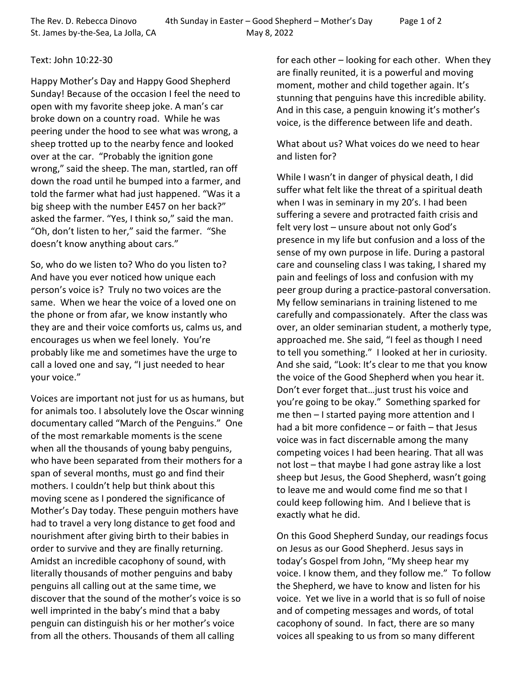## Text: John 10:22-30

Happy Mother's Day and Happy Good Shepherd Sunday! Because of the occasion I feel the need to open with my favorite sheep joke. A man's car broke down on a country road. While he was peering under the hood to see what was wrong, a sheep trotted up to the nearby fence and looked over at the car. "Probably the ignition gone wrong," said the sheep. The man, startled, ran off down the road until he bumped into a farmer, and told the farmer what had just happened. "Was it a big sheep with the number E457 on her back?" asked the farmer. "Yes, I think so," said the man. "Oh, don't listen to her," said the farmer. "She doesn't know anything about cars."

So, who do we listen to? Who do you listen to? And have you ever noticed how unique each person's voice is? Truly no two voices are the same. When we hear the voice of a loved one on the phone or from afar, we know instantly who they are and their voice comforts us, calms us, and encourages us when we feel lonely. You're probably like me and sometimes have the urge to call a loved one and say, "I just needed to hear your voice."

Voices are important not just for us as humans, but for animals too. I absolutely love the Oscar winning documentary called "March of the Penguins." One of the most remarkable moments is the scene when all the thousands of young baby penguins, who have been separated from their mothers for a span of several months, must go and find their mothers. I couldn't help but think about this moving scene as I pondered the significance of Mother's Day today. These penguin mothers have had to travel a very long distance to get food and nourishment after giving birth to their babies in order to survive and they are finally returning. Amidst an incredible cacophony of sound, with literally thousands of mother penguins and baby penguins all calling out at the same time, we discover that the sound of the mother's voice is so well imprinted in the baby's mind that a baby penguin can distinguish his or her mother's voice from all the others. Thousands of them all calling

for each other – looking for each other. When they are finally reunited, it is a powerful and moving moment, mother and child together again. It's stunning that penguins have this incredible ability. And in this case, a penguin knowing it's mother's voice, is the difference between life and death.

What about us? What voices do we need to hear and listen for?

While I wasn't in danger of physical death, I did suffer what felt like the threat of a spiritual death when I was in seminary in my 20's. I had been suffering a severe and protracted faith crisis and felt very lost – unsure about not only God's presence in my life but confusion and a loss of the sense of my own purpose in life. During a pastoral care and counseling class I was taking, I shared my pain and feelings of loss and confusion with my peer group during a practice-pastoral conversation. My fellow seminarians in training listened to me carefully and compassionately. After the class was over, an older seminarian student, a motherly type, approached me. She said, "I feel as though I need to tell you something." I looked at her in curiosity. And she said, "Look: It's clear to me that you know the voice of the Good Shepherd when you hear it. Don't ever forget that…just trust his voice and you're going to be okay." Something sparked for me then – I started paying more attention and I had a bit more confidence – or faith – that Jesus voice was in fact discernable among the many competing voices I had been hearing. That all was not lost – that maybe I had gone astray like a lost sheep but Jesus, the Good Shepherd, wasn't going to leave me and would come find me so that I could keep following him. And I believe that is exactly what he did.

On this Good Shepherd Sunday, our readings focus on Jesus as our Good Shepherd. Jesus says in today's Gospel from John, "My sheep hear my voice. I know them, and they follow me." To follow the Shepherd, we have to know and listen for his voice. Yet we live in a world that is so full of noise and of competing messages and words, of total cacophony of sound. In fact, there are so many voices all speaking to us from so many different